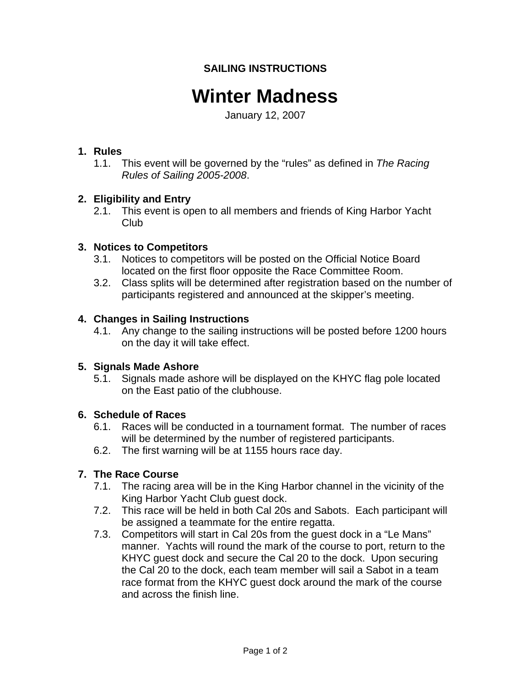# **SAILING INSTRUCTIONS**

# **Winter Madness**

January 12, 2007

## **1. Rules**

1.1. This event will be governed by the "rules" as defined in *The Racing Rules of Sailing 2005-2008*.

## **2. Eligibility and Entry**

2.1. This event is open to all members and friends of King Harbor Yacht Club

## **3. Notices to Competitors**

- 3.1. Notices to competitors will be posted on the Official Notice Board located on the first floor opposite the Race Committee Room.
- 3.2. Class splits will be determined after registration based on the number of participants registered and announced at the skipper's meeting.

## **4. Changes in Sailing Instructions**

4.1. Any change to the sailing instructions will be posted before 1200 hours on the day it will take effect.

## **5. Signals Made Ashore**

5.1. Signals made ashore will be displayed on the KHYC flag pole located on the East patio of the clubhouse.

## **6. Schedule of Races**

- 6.1. Races will be conducted in a tournament format. The number of races will be determined by the number of registered participants.
- 6.2. The first warning will be at 1155 hours race day.

## **7. The Race Course**

- 7.1. The racing area will be in the King Harbor channel in the vicinity of the King Harbor Yacht Club guest dock.
- 7.2. This race will be held in both Cal 20s and Sabots. Each participant will be assigned a teammate for the entire regatta.
- 7.3. Competitors will start in Cal 20s from the guest dock in a "Le Mans" manner. Yachts will round the mark of the course to port, return to the KHYC guest dock and secure the Cal 20 to the dock. Upon securing the Cal 20 to the dock, each team member will sail a Sabot in a team race format from the KHYC guest dock around the mark of the course and across the finish line.